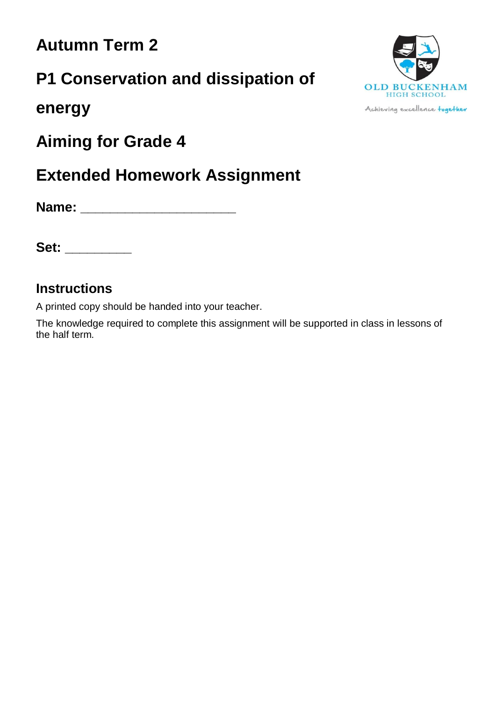### **Autumn Term 2**

# **P1 Conservation and dissipation of**



**energy**

**Aiming for Grade 4**

## **Extended Homework Assignment**

**Name: \_\_\_\_\_\_\_\_\_\_\_\_\_\_\_\_\_\_\_\_\_**

**Set: \_\_\_\_\_\_\_\_\_**

### **Instructions**

A printed copy should be handed into your teacher.

The knowledge required to complete this assignment will be supported in class in lessons of the half term.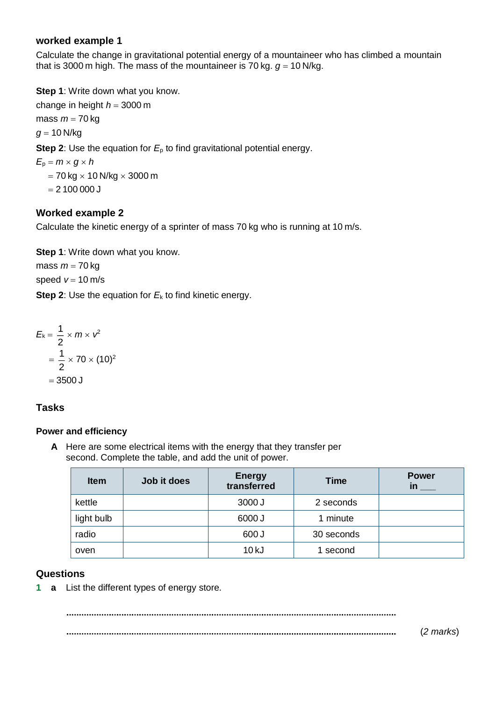#### **worked example 1**

Calculate the change in gravitational potential energy of a mountaineer who has climbed a mountain that is 3000 m high. The mass of the mountaineer is 70 kg.  $q = 10$  N/kg.

**Step 1**: Write down what you know. change in height  $h = 3000$  m mass  $m = 70$  kg  $g = 10$  N/kg **Step 2**: Use the equation for *E*<sup>p</sup> to find gravitational potential energy.  $E_p = m \times g \times h$  $= 70$  kg  $\times$  10 N/kg  $\times$  3000 m  $= 2100000$ 

#### **Worked example 2**

Calculate the kinetic energy of a sprinter of mass 70 kg who is running at 10 m/s.

**Step 1**: Write down what you know.

mass  $m = 70$  kg speed  $v = 10$  m/s

**Step 2:** Use the equation for  $E_k$  to find kinetic energy.

$$
E_k = \frac{1}{2} \times m \times v^2
$$

$$
= \frac{1}{2} \times 70 \times (10)^2
$$

$$
= 3500 \text{ J}
$$

#### **Tasks**

#### **Power and efficiency**

**A** Here are some electrical items with the energy that they transfer per second. Complete the table, and add the unit of power.

| <b>Item</b> | Job it does | <b>Energy</b><br>transferred | <b>Time</b> | <b>Power</b> |
|-------------|-------------|------------------------------|-------------|--------------|
| kettle      |             | 3000 J                       | 2 seconds   |              |
| light bulb  |             | 6000J                        | minute      |              |
| radio       |             | 600 J                        | 30 seconds  |              |
| oven        |             | 10 kJ                        | 1 second    |              |

#### **Questions**

**1 a** List the different types of energy store.

(*2 marks*)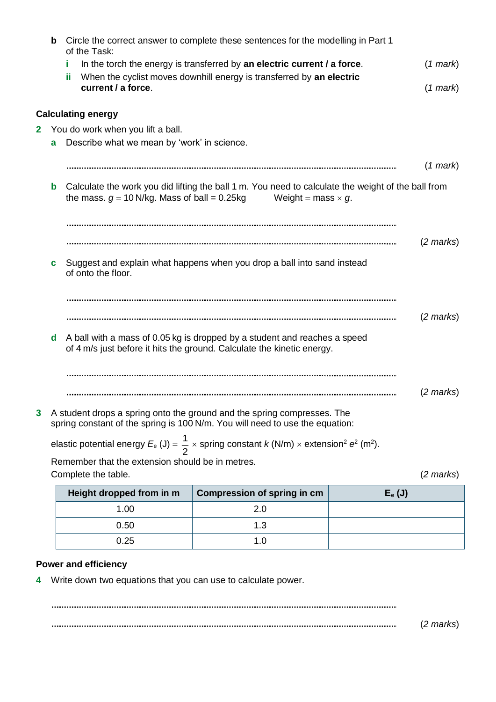|    | $\mathbf b$                                                                                                                                              | of the Task:                                   | Circle the correct answer to complete these sentences for the modelling in Part 1                                                       |           |                     |  |
|----|----------------------------------------------------------------------------------------------------------------------------------------------------------|------------------------------------------------|-----------------------------------------------------------------------------------------------------------------------------------------|-----------|---------------------|--|
|    |                                                                                                                                                          | Ĩ.                                             | In the torch the energy is transferred by an electric current / a force.                                                                |           | $(1$ mark $)$       |  |
|    |                                                                                                                                                          | ïi                                             | When the cyclist moves downhill energy is transferred by an electric                                                                    |           |                     |  |
|    |                                                                                                                                                          | current / a force.                             |                                                                                                                                         |           | $(1$ mark $)$       |  |
|    |                                                                                                                                                          | <b>Calculating energy</b>                      |                                                                                                                                         |           |                     |  |
| 2. |                                                                                                                                                          | You do work when you lift a ball.              |                                                                                                                                         |           |                     |  |
|    | a                                                                                                                                                        | Describe what we mean by 'work' in science.    |                                                                                                                                         |           |                     |  |
|    |                                                                                                                                                          |                                                |                                                                                                                                         |           | $(1$ mark)          |  |
|    |                                                                                                                                                          |                                                |                                                                                                                                         |           |                     |  |
|    | b                                                                                                                                                        | the mass. $g = 10$ N/kg. Mass of ball = 0.25kg | Calculate the work you did lifting the ball 1 m. You need to calculate the weight of the ball from<br>Weight = mass $\times$ g.         |           |                     |  |
|    |                                                                                                                                                          |                                                |                                                                                                                                         |           |                     |  |
|    |                                                                                                                                                          |                                                |                                                                                                                                         |           |                     |  |
|    |                                                                                                                                                          |                                                |                                                                                                                                         |           | $(2 \text{ marks})$ |  |
|    | C.                                                                                                                                                       |                                                | Suggest and explain what happens when you drop a ball into sand instead                                                                 |           |                     |  |
|    |                                                                                                                                                          | of onto the floor.                             |                                                                                                                                         |           |                     |  |
|    |                                                                                                                                                          |                                                |                                                                                                                                         |           |                     |  |
|    |                                                                                                                                                          |                                                |                                                                                                                                         |           | $(2 \text{ marks})$ |  |
|    |                                                                                                                                                          |                                                |                                                                                                                                         |           |                     |  |
|    | A ball with a mass of 0.05 kg is dropped by a student and reaches a speed<br>d<br>of 4 m/s just before it hits the ground. Calculate the kinetic energy. |                                                |                                                                                                                                         |           |                     |  |
|    |                                                                                                                                                          |                                                |                                                                                                                                         |           |                     |  |
|    |                                                                                                                                                          |                                                |                                                                                                                                         |           |                     |  |
|    |                                                                                                                                                          |                                                |                                                                                                                                         |           | $(2 \text{ marks})$ |  |
| 3  |                                                                                                                                                          |                                                | A student drops a spring onto the ground and the spring compresses. The                                                                 |           |                     |  |
|    | spring constant of the spring is 100 N/m. You will need to use the equation:                                                                             |                                                |                                                                                                                                         |           |                     |  |
|    |                                                                                                                                                          |                                                | elastic potential energy $E_e$ (J) = $\frac{1}{2}$ x spring constant k (N/m) x extension <sup>2</sup> e <sup>2</sup> (m <sup>2</sup> ). |           |                     |  |
|    | Remember that the extension should be in metres.                                                                                                         |                                                |                                                                                                                                         |           |                     |  |
|    | Complete the table.                                                                                                                                      |                                                |                                                                                                                                         |           |                     |  |
|    |                                                                                                                                                          | Height dropped from in m                       | <b>Compression of spring in cm</b>                                                                                                      | $E_e$ (J) |                     |  |
|    |                                                                                                                                                          | 1.00                                           | 2.0                                                                                                                                     |           |                     |  |
|    |                                                                                                                                                          | 0.50                                           | 1.3                                                                                                                                     |           |                     |  |
|    |                                                                                                                                                          | 0.25                                           | 1.0                                                                                                                                     |           |                     |  |

### **Power and efficiency**

**4** Write down two equations that you can use to calculate power.

(*2 marks*)